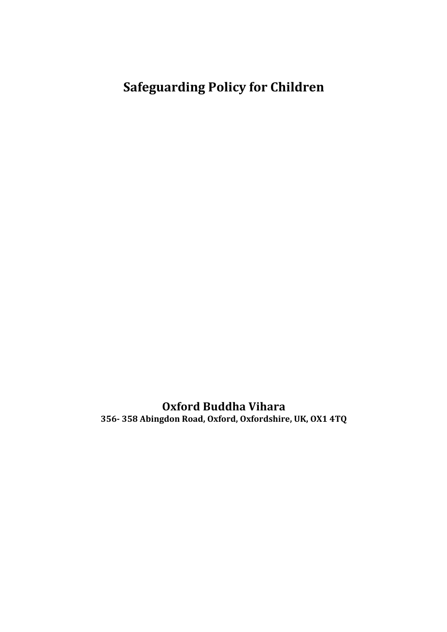# **Safeguarding Policy for Children**

**Oxford Buddha Vihara 356- 358 Abingdon Road, Oxford, Oxfordshire, UK, OX1 4TQ**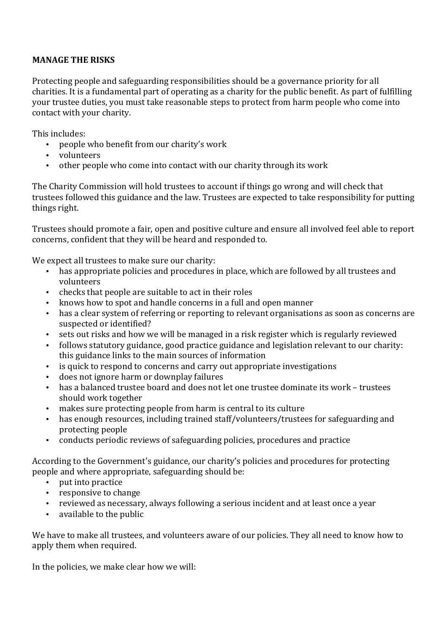## **MANAGE THE RISKS**

Protecting people and safeguarding responsibilities should be a governance priority for all charities. It is a fundamental part of operating as a charity for the public benefit. As part of fulfilling your trustee duties, you must take reasonable steps to protect from harm people who come into contact with your charity.

This includes:

- people who benefit from our charity's work
- volunteers
- other people who come into contact with our charity through its work

The Charity Commission will hold trustees to account if things go wrong and will check that trustees followed this guidance and the law. Trustees are expected to take responsibility for putting things right.

Trustees should promote a fair, open and positive culture and ensure all involved feel able to report concerns, confident that they will be heard and responded to.

We expect all trustees to make sure our charity:

- has appropriate policies and procedures in place, which are followed by all trustees and volunteers
- checks that people are suitable to act in their roles
- knows how to spot and handle concerns in a full and open manner
- has a clear system of referring or reporting to relevant organisations as soon as concerns are suspected or identified?
- sets out risks and how we will be managed in a risk register which is regularly reviewed
- follows statutory guidance, good practice guidance and legislation relevant to our charity: this guidance links to the main sources of information
- is quick to respond to concerns and carry out appropriate investigations
- does not ignore harm or downplay failures
- has a balanced trustee board and does not let one trustee dominate its work trustees should work together
- makes sure protecting people from harm is central to its culture
- has enough resources, including trained staff/volunteers/trustees for safeguarding and protecting people
- conducts periodic reviews of safeguarding policies, procedures and practice

According to the Government's guidance, our charity's policies and procedures for protecting people and where appropriate, safeguarding should be:

- put into practice
- responsive to change
- reviewed as necessary, always following a serious incident and at least once a year
- available to the public

We have to make all trustees, and volunteers aware of our policies. They all need to know how to apply them when required.

In the policies, we make clear how we will: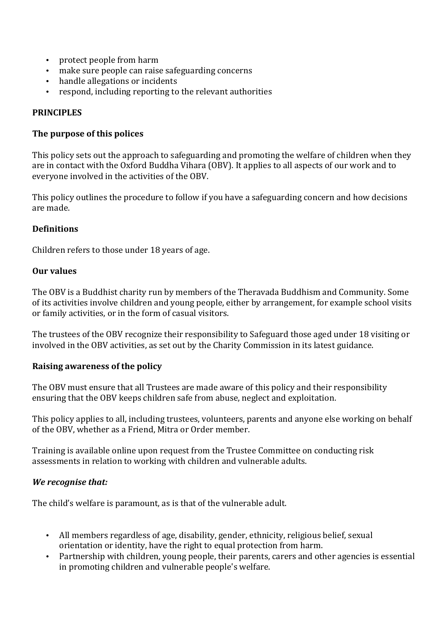- protect people from harm
- make sure people can raise safeguarding concerns
- handle allegations or incidents
- respond, including reporting to the relevant authorities

#### **PRINCIPLES**

#### **The purpose of this polices**

This policy sets out the approach to safeguarding and promoting the welfare of children when they are in contact with the Oxford Buddha Vihara (OBV). It applies to all aspects of our work and to everyone involved in the activities of the OBV.

This policy outlines the procedure to follow if you have a safeguarding concern and how decisions are made.

#### **Definitions**

Children refers to those under 18 years of age.

#### **Our values**

The OBV is a Buddhist charity run by members of the Theravada Buddhism and Community. Some of its activities involve children and voung people, either by arrangement, for example school visits or family activities, or in the form of casual visitors.

The trustees of the OBV recognize their responsibility to Safeguard those aged under 18 visiting or involved in the OBV activities, as set out by the Charity Commission in its latest guidance.

#### **Raising awareness of the policy**

The OBV must ensure that all Trustees are made aware of this policy and their responsibility ensuring that the OBV keeps children safe from abuse, neglect and exploitation.

This policy applies to all, including trustees, volunteers, parents and anyone else working on behalf of the OBV, whether as a Friend, Mitra or Order member.

Training is available online upon request from the Trustee Committee on conducting risk assessments in relation to working with children and vulnerable adults.

#### *We recognise that:*

The child's welfare is paramount, as is that of the vulnerable adult.

- All members regardless of age, disability, gender, ethnicity, religious belief, sexual orientation or identity, have the right to equal protection from harm.
- Partnership with children, young people, their parents, carers and other agencies is essential in promoting children and vulnerable people's welfare.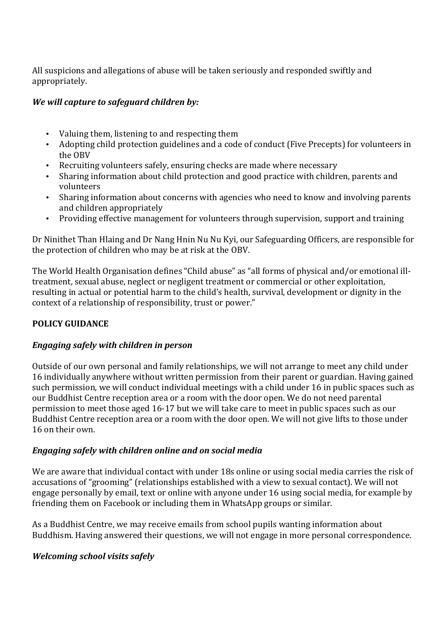All suspicions and allegations of abuse will be taken seriously and responded swiftly and appropriately.

## *We will capture to safeguard children by:*

- Valuing them, listening to and respecting them
- Adopting child protection guidelines and a code of conduct (Five Precepts) for volunteers in the OBV
- Recruiting volunteers safely, ensuring checks are made where necessary
- Sharing information about child protection and good practice with children, parents and volunteers
- Sharing information about concerns with agencies who need to know and involving parents and children appropriately
- Providing effective management for volunteers through supervision, support and training

Dr Ninithet Than Hlaing and Dr Nang Hnin Nu Nu Kyi, our Safeguarding Officers, are responsible for the protection of children who may be at risk at the OBV.

The World Health Organisation defines "Child abuse" as "all forms of physical and/or emotional illtreatment, sexual abuse, neglect or negligent treatment or commercial or other exploitation, resulting in actual or potential harm to the child's health, survival, development or dignity in the context of a relationship of responsibility, trust or power."

# **POLICY GUIDANCE**

# *Engaging safely with children in person*

Outside of our own personal and family relationships, we will not arrange to meet any child under 16 individually anywhere without written permission from their parent or guardian. Having gained such permission, we will conduct individual meetings with a child under 16 in public spaces such as our Buddhist Centre reception area or a room with the door open. We do not need parental permission to meet those aged 16-17 but we will take care to meet in public spaces such as our Buddhist Centre reception area or a room with the door open. We will not give lifts to those under 16 on their own.

# *Engaging safely with children online and on social media*

We are aware that individual contact with under 18s online or using social media carries the risk of accusations of "grooming" (relationships established with a view to sexual contact). We will not engage personally by email, text or online with anyone under 16 using social media, for example by friending them on Facebook or including them in WhatsApp groups or similar.

As a Buddhist Centre, we may receive emails from school pupils wanting information about Buddhism. Having answered their questions, we will not engage in more personal correspondence.

# *Welcoming school visits safely*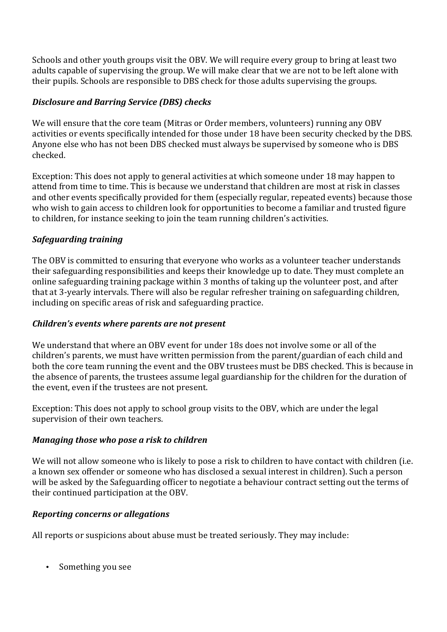Schools and other youth groups visit the OBV. We will require every group to bring at least two adults capable of supervising the group. We will make clear that we are not to be left alone with their pupils. Schools are responsible to DBS check for those adults supervising the groups.

## *Disclosure and Barring Service (DBS) checks*

We will ensure that the core team (Mitras or Order members, volunteers) running any OBV activities or events specifically intended for those under 18 have been security checked by the DBS. Anyone else who has not been DBS checked must always be supervised by someone who is DBS checked.

Exception: This does not apply to general activities at which someone under 18 may happen to attend from time to time. This is because we understand that children are most at risk in classes and other events specifically provided for them (especially regular, repeated events) because those who wish to gain access to children look for opportunities to become a familiar and trusted figure to children, for instance seeking to join the team running children's activities.

# *Safeguarding training*

The OBV is committed to ensuring that everyone who works as a volunteer teacher understands their safeguarding responsibilities and keeps their knowledge up to date. They must complete an online safeguarding training package within 3 months of taking up the volunteer post, and after that at 3-yearly intervals. There will also be regular refresher training on safeguarding children, including on specific areas of risk and safeguarding practice.

## *Children's events where parents are not present*

We understand that where an OBV event for under 18s does not involve some or all of the children's parents, we must have written permission from the parent/guardian of each child and both the core team running the event and the OBV trustees must be DBS checked. This is because in the absence of parents, the trustees assume legal guardianship for the children for the duration of the event, even if the trustees are not present.

Exception: This does not apply to school group visits to the OBV, which are under the legal supervision of their own teachers.

## *Managing those who pose a risk to children*

We will not allow someone who is likely to pose a risk to children to have contact with children (i.e. a known sex offender or someone who has disclosed a sexual interest in children). Such a person will be asked by the Safeguarding officer to negotiate a behaviour contract setting out the terms of their continued participation at the OBV.

## *Reporting concerns or allegations*

All reports or suspicions about abuse must be treated seriously. They may include:

• Something you see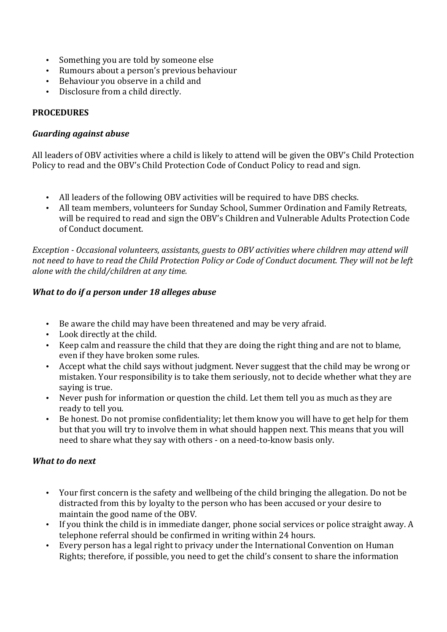- Something you are told by someone else
- Rumours about a person's previous behaviour
- Behaviour you observe in a child and
- Disclosure from a child directly.

## **PROCEDURES**

#### *Guarding against abuse*

All leaders of OBV activities where a child is likely to attend will be given the OBV's Child Protection Policy to read and the OBV's Child Protection Code of Conduct Policy to read and sign.

- All leaders of the following OBV activities will be required to have DBS checks.
- All team members, volunteers for Sunday School, Summer Ordination and Family Retreats, will be required to read and sign the OBV's Children and Vulnerable Adults Protection Code of Conduct document.

*Exception* - *Occasional volunteers, assistants, guests to OBV activities where children may attend will* not need to have to read the Child Protection Policy or Code of Conduct document. They will not be left *alone* with the child/children at any time.

## *What to do if a person under 18 alleges abuse*

- Be aware the child may have been threatened and may be very afraid.
- Look directly at the child.
- Keep calm and reassure the child that they are doing the right thing and are not to blame. even if they have broken some rules.
- Accept what the child says without judgment. Never suggest that the child may be wrong or mistaken. Your responsibility is to take them seriously, not to decide whether what they are saving is true.
- Never push for information or question the child. Let them tell you as much as they are ready to tell you.
- Be honest. Do not promise confidentiality; let them know you will have to get help for them but that you will try to involve them in what should happen next. This means that you will need to share what they say with others - on a need-to-know basis only.

## **What to do next**

- Your first concern is the safety and wellbeing of the child bringing the allegation. Do not be distracted from this by loyalty to the person who has been accused or your desire to maintain the good name of the OBV.
- If vou think the child is in immediate danger, phone social services or police straight away. A telephone referral should be confirmed in writing within 24 hours.
- Every person has a legal right to privacy under the International Convention on Human Rights; therefore, if possible, you need to get the child's consent to share the information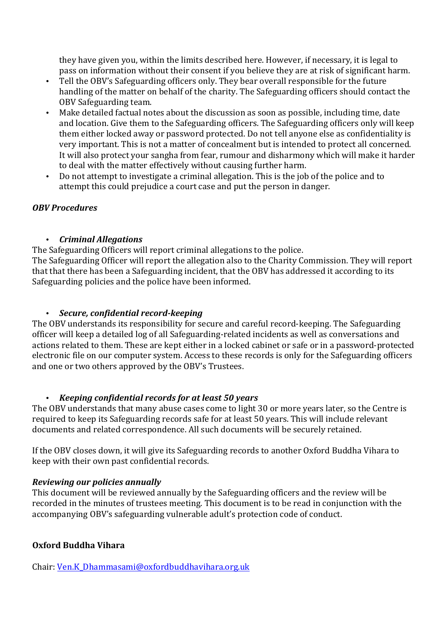they have given you, within the limits described here. However, if necessary, it is legal to pass on information without their consent if you believe they are at risk of significant harm.

- Tell the OBV's Safeguarding officers only. They bear overall responsible for the future handling of the matter on behalf of the charity. The Safeguarding officers should contact the OBV Safeguarding team.
- Make detailed factual notes about the discussion as soon as possible, including time, date and location. Give them to the Safeguarding officers. The Safeguarding officers only will keep them either locked away or password protected. Do not tell anyone else as confidentiality is very important. This is not a matter of concealment but is intended to protect all concerned. It will also protect your sangha from fear, rumour and disharmony which will make it harder to deal with the matter effectively without causing further harm.
- Do not attempt to investigate a criminal allegation. This is the job of the police and to attempt this could prejudice a court case and put the person in danger.

## *OBV Procedures*

## • *Criminal Allegations*

The Safeguarding Officers will report criminal allegations to the police. The Safeguarding Officer will report the allegation also to the Charity Commission. They will report

that that there has been a Safeguarding incident, that the OBV has addressed it according to its Safeguarding policies and the police have been informed.

## • *Secure, confidential record-keeping*

The OBV understands its responsibility for secure and careful record-keeping. The Safeguarding officer will keep a detailed log of all Safeguarding-related incidents as well as conversations and actions related to them. These are kept either in a locked cabinet or safe or in a password-protected electronic file on our computer system. Access to these records is only for the Safeguarding officers and one or two others approved by the OBV's Trustees.

# • *Keeping confidential records for at least 50 years*

The OBV understands that many abuse cases come to light 30 or more years later, so the Centre is required to keep its Safeguarding records safe for at least 50 years. This will include relevant documents and related correspondence. All such documents will be securely retained.

If the OBV closes down, it will give its Safeguarding records to another Oxford Buddha Vihara to keep with their own past confidential records.

# *Reviewing our policies annually*

This document will be reviewed annually by the Safeguarding officers and the review will be recorded in the minutes of trustees meeting. This document is to be read in conjunction with the accompanying OBV's safeguarding vulnerable adult's protection code of conduct.

# **Oxford Buddha Vihara**

Chair: Ven.K\_Dhammasami@oxfordbuddhavihara.org.uk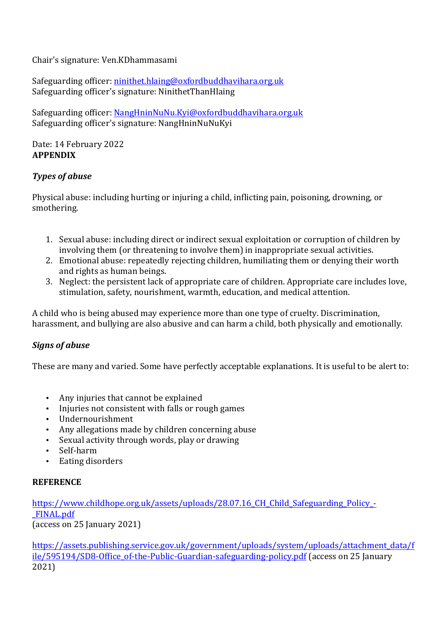Chair's signature: Ven.KDhammasami

Safeguarding officer: ninithet.hlaing@oxfordbuddhavihara.org.uk Safeguarding officer's signature: NinithetThanHlaing

Safeguarding officer: NangHninNuNu.Kyi@oxfordbuddhavihara.org.uk Safeguarding officer's signature: NangHninNuNuKyi

Date: 14 February 2022 **APPENDIX**

## *Types of abuse*

Physical abuse: including hurting or injuring a child, inflicting pain, poisoning, drowning, or smothering.

- 1. Sexual abuse: including direct or indirect sexual exploitation or corruption of children by involving them (or threatening to involve them) in inappropriate sexual activities.
- 2. Emotional abuse: repeatedly rejecting children, humiliating them or denying their worth and rights as human beings.
- 3. Neglect: the persistent lack of appropriate care of children. Appropriate care includes love, stimulation, safety, nourishment, warmth, education, and medical attention.

A child who is being abused may experience more than one type of cruelty. Discrimination, harassment, and bullying are also abusive and can harm a child, both physically and emotionally.

## *Signs of abuse*

These are many and varied. Some have perfectly acceptable explanations. It is useful to be alert to:

- Any injuries that cannot be explained
- Injuries not consistent with falls or rough games
- Undernourishment
- Any allegations made by children concerning abuse
- Sexual activity through words, play or drawing
- Self-harm
- Eating disorders

#### **REFERENCE**

https://www.childhope.org.uk/assets/uploads/28.07.16\_CH\_Child\_Safeguarding\_Policy\_- \_FINAL.pdf (access on 25 January 2021)

https://assets.publishing.service.gov.uk/government/uploads/system/uploads/attachment\_data/f ile/595194/SD8-Office of-the-Public-Guardian-safeguarding-policy.pdf (access on 25 January 2021)